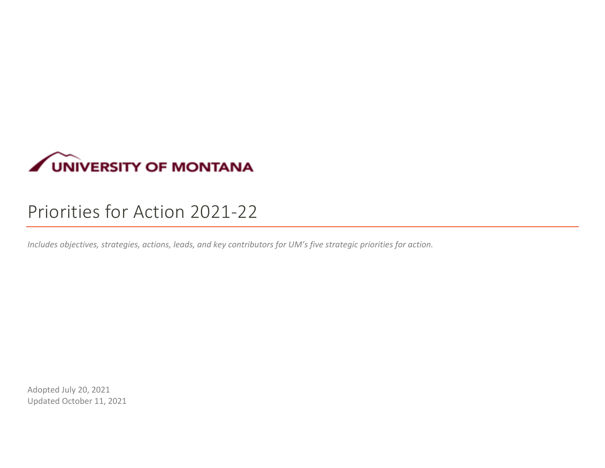

# Priorities for Action 2021-22

*Includes objectives, strategies, actions, leads, and key contributors for UM's five strategic priorities for action.*

Adopted July 20, 2021 Updated October 11, 2021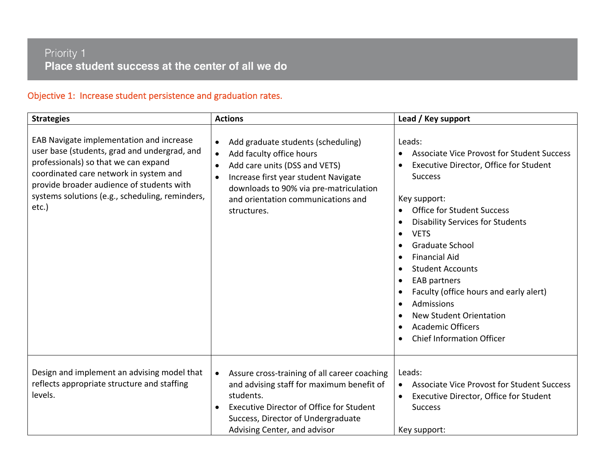#### Priority 1 Place student success at the center of all we do

#### Objective 1: Increase student persistence and graduation rates.

| <b>Strategies</b>                                                                                                                                                                                                                                                                   | <b>Actions</b>                                                                                                                                                                                                                                                                | Lead / Key support                                                                                                                                                                                                                                                                                                                                                                                                                                                                                                                                                                                                  |
|-------------------------------------------------------------------------------------------------------------------------------------------------------------------------------------------------------------------------------------------------------------------------------------|-------------------------------------------------------------------------------------------------------------------------------------------------------------------------------------------------------------------------------------------------------------------------------|---------------------------------------------------------------------------------------------------------------------------------------------------------------------------------------------------------------------------------------------------------------------------------------------------------------------------------------------------------------------------------------------------------------------------------------------------------------------------------------------------------------------------------------------------------------------------------------------------------------------|
| EAB Navigate implementation and increase<br>user base (students, grad and undergrad, and<br>professionals) so that we can expand<br>coordinated care network in system and<br>provide broader audience of students with<br>systems solutions (e.g., scheduling, reminders,<br>etc.) | Add graduate students (scheduling)<br>$\bullet$<br>Add faculty office hours<br>$\bullet$<br>Add care units (DSS and VETS)<br>$\bullet$<br>Increase first year student Navigate<br>downloads to 90% via pre-matriculation<br>and orientation communications and<br>structures. | Leads:<br><b>Associate Vice Provost for Student Success</b><br>Executive Director, Office for Student<br><b>Success</b><br>Key support:<br><b>Office for Student Success</b><br><b>Disability Services for Students</b><br>$\bullet$<br><b>VETS</b><br>$\bullet$<br><b>Graduate School</b><br><b>Financial Aid</b><br>$\bullet$<br><b>Student Accounts</b><br>$\bullet$<br><b>EAB partners</b><br>$\bullet$<br>Faculty (office hours and early alert)<br>$\bullet$<br><b>Admissions</b><br>$\bullet$<br><b>New Student Orientation</b><br><b>Academic Officers</b><br><b>Chief Information Officer</b><br>$\bullet$ |
| Design and implement an advising model that<br>reflects appropriate structure and staffing<br>levels.                                                                                                                                                                               | Assure cross-training of all career coaching<br>$\bullet$<br>and advising staff for maximum benefit of<br>students.<br><b>Executive Director of Office for Student</b><br>Success, Director of Undergraduate<br>Advising Center, and advisor                                  | Leads:<br><b>Associate Vice Provost for Student Success</b><br>Executive Director, Office for Student<br><b>Success</b><br>Key support:                                                                                                                                                                                                                                                                                                                                                                                                                                                                             |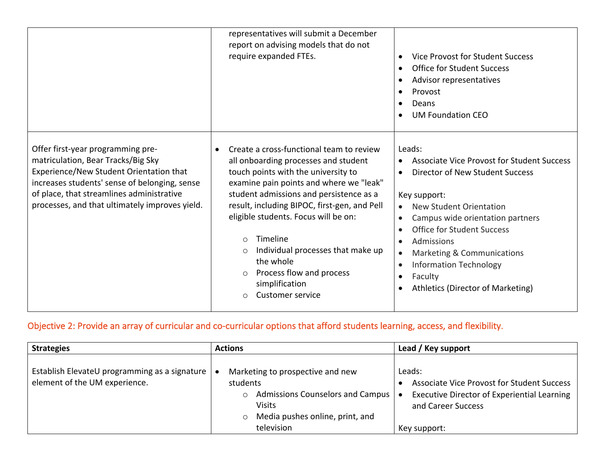|                                                                                                                                                                                                                                                                    | representatives will submit a December<br>report on advising models that do not<br>require expanded FTEs.                                                                                                                                                                                                                                                                                                                                                                             | Vice Provost for Student Success<br>$\bullet$<br><b>Office for Student Success</b><br>$\bullet$<br>Advisor representatives<br>Provost<br>$\bullet$<br>Deans<br>$\bullet$<br><b>UM Foundation CEO</b>                                                                                                                                                                                                                                                           |
|--------------------------------------------------------------------------------------------------------------------------------------------------------------------------------------------------------------------------------------------------------------------|---------------------------------------------------------------------------------------------------------------------------------------------------------------------------------------------------------------------------------------------------------------------------------------------------------------------------------------------------------------------------------------------------------------------------------------------------------------------------------------|----------------------------------------------------------------------------------------------------------------------------------------------------------------------------------------------------------------------------------------------------------------------------------------------------------------------------------------------------------------------------------------------------------------------------------------------------------------|
| Offer first-year programming pre-<br>matriculation, Bear Tracks/Big Sky<br>Experience/New Student Orientation that<br>increases students' sense of belonging, sense<br>of place, that streamlines administrative<br>processes, and that ultimately improves yield. | Create a cross-functional team to review<br>$\bullet$<br>all onboarding processes and student<br>touch points with the university to<br>examine pain points and where we "leak"<br>student admissions and persistence as a<br>result, including BIPOC, first-gen, and Pell<br>eligible students. Focus will be on:<br>Timeline<br>$\Omega$<br>Individual processes that make up<br>the whole<br>Process flow and process<br>$\circ$<br>simplification<br>Customer service<br>$\Omega$ | Leads:<br><b>Associate Vice Provost for Student Success</b><br>Director of New Student Success<br>$\bullet$<br>Key support:<br><b>New Student Orientation</b><br>$\bullet$<br>Campus wide orientation partners<br>$\bullet$<br><b>Office for Student Success</b><br>$\bullet$<br>Admissions<br>$\bullet$<br>Marketing & Communications<br>$\bullet$<br><b>Information Technology</b><br>$\bullet$<br>Faculty<br>$\bullet$<br>Athletics (Director of Marketing) |

# Objective 2: Provide an array of curricular and co-curricular options that afford students learning, access, and flexibility.

| <b>Strategies</b>                                                                | <b>Actions</b>                                                                                                                                                    | Lead / Key support                                                                                                                                      |
|----------------------------------------------------------------------------------|-------------------------------------------------------------------------------------------------------------------------------------------------------------------|---------------------------------------------------------------------------------------------------------------------------------------------------------|
| Establish ElevateU programming as a signature  <br>element of the UM experience. | Marketing to prospective and new<br>students<br>Admissions Counselors and Campus   •<br>$\circ$<br><b>Visits</b><br>Media pushes online, print, and<br>television | Leads:<br><b>Associate Vice Provost for Student Success</b><br><b>Executive Director of Experiential Learning</b><br>and Career Success<br>Key support: |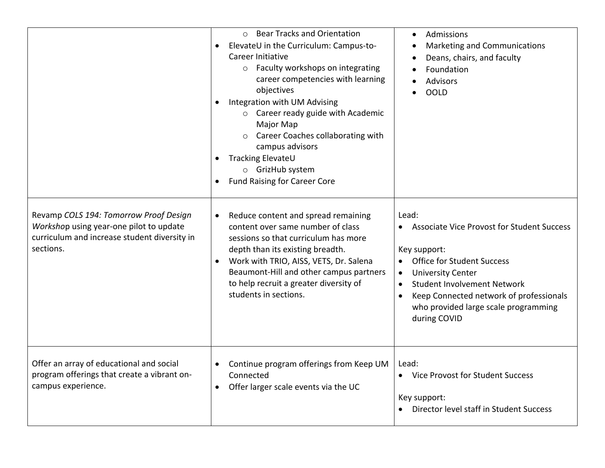|                                                                                                                                                | ○ Bear Tracks and Orientation<br>ElevateU in the Curriculum: Campus-to-<br>$\bullet$<br>Career Initiative<br>o Faculty workshops on integrating<br>career competencies with learning<br>objectives<br>Integration with UM Advising<br>$\circ$ Career ready guide with Academic<br>Major Map<br>o Career Coaches collaborating with<br>campus advisors<br>Tracking ElevateU<br>o GrizHub system<br><b>Fund Raising for Career Core</b><br>$\bullet$ | Admissions<br>$\bullet$<br>Marketing and Communications<br>Deans, chairs, and faculty<br>$\bullet$<br>Foundation<br><b>Advisors</b><br><b>OOLD</b>                                                                                                                                                             |
|------------------------------------------------------------------------------------------------------------------------------------------------|----------------------------------------------------------------------------------------------------------------------------------------------------------------------------------------------------------------------------------------------------------------------------------------------------------------------------------------------------------------------------------------------------------------------------------------------------|----------------------------------------------------------------------------------------------------------------------------------------------------------------------------------------------------------------------------------------------------------------------------------------------------------------|
| Revamp COLS 194: Tomorrow Proof Design<br>Workshop using year-one pilot to update<br>curriculum and increase student diversity in<br>sections. | Reduce content and spread remaining<br>$\bullet$<br>content over same number of class<br>sessions so that curriculum has more<br>depth than its existing breadth.<br>Work with TRIO, AISS, VETS, Dr. Salena<br>Beaumont-Hill and other campus partners<br>to help recruit a greater diversity of<br>students in sections.                                                                                                                          | Lead:<br><b>Associate Vice Provost for Student Success</b><br>$\bullet$<br>Key support:<br><b>Office for Student Success</b><br><b>University Center</b><br>$\bullet$<br><b>Student Involvement Network</b><br>Keep Connected network of professionals<br>who provided large scale programming<br>during COVID |
| Offer an array of educational and social<br>program offerings that create a vibrant on-<br>campus experience.                                  | Continue program offerings from Keep UM<br>$\bullet$<br>Connected<br>Offer larger scale events via the UC<br>$\bullet$                                                                                                                                                                                                                                                                                                                             | Lead:<br>• Vice Provost for Student Success<br>Key support:<br>Director level staff in Student Success                                                                                                                                                                                                         |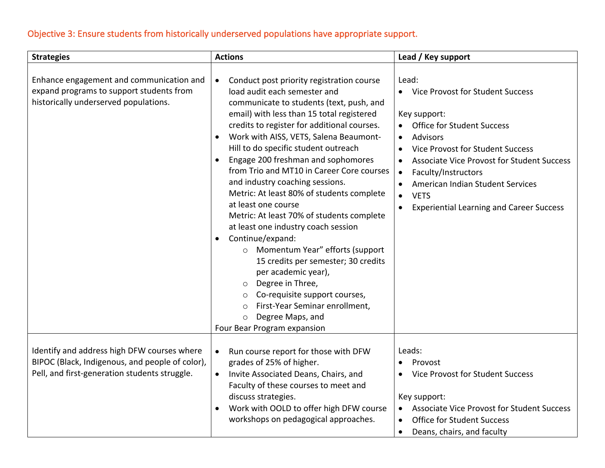# Objective 3: Ensure students from historically underserved populations have appropriate support.

| <b>Strategies</b>                                                                                                                               | <b>Actions</b>                                                                                                                                                                                                                                                                                                                                                                                                                                                                                                                                                                                                                                                                                                                                                                                                                                                                                                                        | Lead / Key support                                                                                                                                                                                                                                                                                                                                                               |
|-------------------------------------------------------------------------------------------------------------------------------------------------|---------------------------------------------------------------------------------------------------------------------------------------------------------------------------------------------------------------------------------------------------------------------------------------------------------------------------------------------------------------------------------------------------------------------------------------------------------------------------------------------------------------------------------------------------------------------------------------------------------------------------------------------------------------------------------------------------------------------------------------------------------------------------------------------------------------------------------------------------------------------------------------------------------------------------------------|----------------------------------------------------------------------------------------------------------------------------------------------------------------------------------------------------------------------------------------------------------------------------------------------------------------------------------------------------------------------------------|
| Enhance engagement and communication and<br>expand programs to support students from<br>historically underserved populations.                   | $\bullet$<br>Conduct post priority registration course<br>load audit each semester and<br>communicate to students (text, push, and<br>email) with less than 15 total registered<br>credits to register for additional courses.<br>Work with AISS, VETS, Salena Beaumont-<br>$\bullet$<br>Hill to do specific student outreach<br>Engage 200 freshman and sophomores<br>from Trio and MT10 in Career Core courses<br>and industry coaching sessions.<br>Metric: At least 80% of students complete<br>at least one course<br>Metric: At least 70% of students complete<br>at least one industry coach session<br>Continue/expand:<br>$\bullet$<br>O Momentum Year" efforts (support<br>15 credits per semester; 30 credits<br>per academic year),<br>Degree in Three,<br>$\circ$<br>Co-requisite support courses,<br>$\circ$<br>First-Year Seminar enrollment,<br>$\circ$<br>Degree Maps, and<br>$\circ$<br>Four Bear Program expansion | Lead:<br>• Vice Provost for Student Success<br>Key support:<br><b>Office for Student Success</b><br><b>Advisors</b><br>$\bullet$<br>Vice Provost for Student Success<br><b>Associate Vice Provost for Student Success</b><br>Faculty/Instructors<br>$\bullet$<br>American Indian Student Services<br><b>VETS</b><br>$\bullet$<br><b>Experiential Learning and Career Success</b> |
| Identify and address high DFW courses where<br>BIPOC (Black, Indigenous, and people of color),<br>Pell, and first-generation students struggle. | Run course report for those with DFW<br>$\bullet$<br>grades of 25% of higher.<br>Invite Associated Deans, Chairs, and<br>$\bullet$<br>Faculty of these courses to meet and<br>discuss strategies.<br>Work with OOLD to offer high DFW course<br>workshops on pedagogical approaches.                                                                                                                                                                                                                                                                                                                                                                                                                                                                                                                                                                                                                                                  | Leads:<br>Provost<br><b>Vice Provost for Student Success</b><br>Key support:<br><b>Associate Vice Provost for Student Success</b><br><b>Office for Student Success</b><br>Deans, chairs, and faculty<br>$\bullet$                                                                                                                                                                |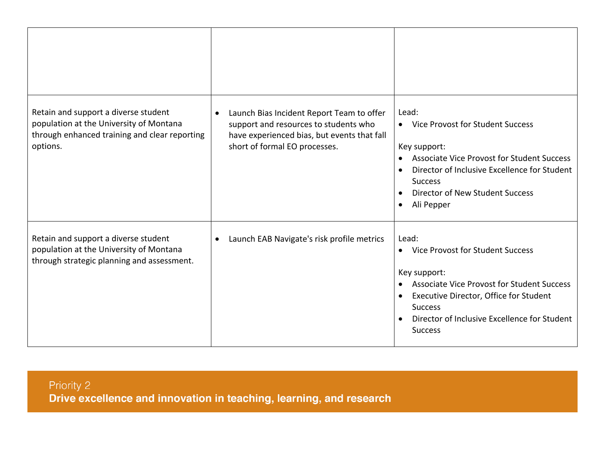| Retain and support a diverse student<br>population at the University of Montana<br>through enhanced training and clear reporting<br>options. | Launch Bias Incident Report Team to offer<br>$\bullet$<br>support and resources to students who<br>have experienced bias, but events that fall<br>short of formal EO processes. | Lead:<br>• Vice Provost for Student Success<br>Key support:<br><b>Associate Vice Provost for Student Success</b><br>$\bullet$<br>Director of Inclusive Excellence for Student<br>$\bullet$<br><b>Success</b><br>Director of New Student Success<br>$\bullet$<br>Ali Pepper<br>$\bullet$ |
|----------------------------------------------------------------------------------------------------------------------------------------------|---------------------------------------------------------------------------------------------------------------------------------------------------------------------------------|-----------------------------------------------------------------------------------------------------------------------------------------------------------------------------------------------------------------------------------------------------------------------------------------|
| Retain and support a diverse student<br>population at the University of Montana<br>through strategic planning and assessment.                | Launch EAB Navigate's risk profile metrics<br>$\bullet$                                                                                                                         | Lead:<br>• Vice Provost for Student Success<br>Key support:<br><b>Associate Vice Provost for Student Success</b><br>$\bullet$<br>Executive Director, Office for Student<br>$\bullet$<br><b>Success</b><br>Director of Inclusive Excellence for Student<br>$\bullet$<br><b>Success</b>   |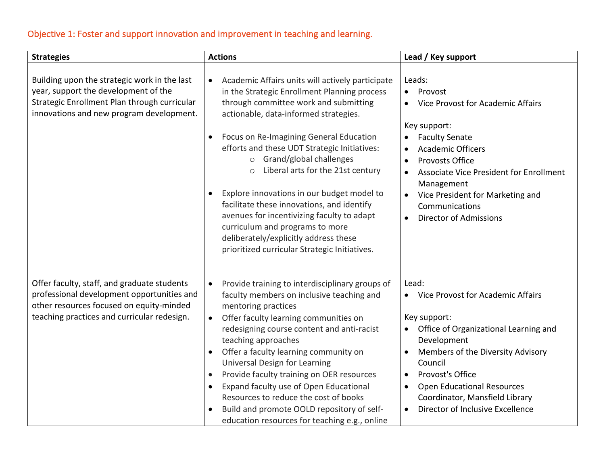# Objective 1: Foster and support innovation and improvement in teaching and learning.

| <b>Strategies</b>                                                                                                                                                                    | <b>Actions</b>                                                                                                                                                                                                                                                                                                                                                                                                                                                                                                                                                                                                                                                       | Lead / Key support                                                                                                                                                                                                                                                                                                                                                                  |
|--------------------------------------------------------------------------------------------------------------------------------------------------------------------------------------|----------------------------------------------------------------------------------------------------------------------------------------------------------------------------------------------------------------------------------------------------------------------------------------------------------------------------------------------------------------------------------------------------------------------------------------------------------------------------------------------------------------------------------------------------------------------------------------------------------------------------------------------------------------------|-------------------------------------------------------------------------------------------------------------------------------------------------------------------------------------------------------------------------------------------------------------------------------------------------------------------------------------------------------------------------------------|
| Building upon the strategic work in the last<br>year, support the development of the<br>Strategic Enrollment Plan through curricular<br>innovations and new program development.     | Academic Affairs units will actively participate<br>$\bullet$<br>in the Strategic Enrollment Planning process<br>through committee work and submitting<br>actionable, data-informed strategies.<br>Focus on Re-Imagining General Education<br>$\bullet$<br>efforts and these UDT Strategic Initiatives:<br>Grand/global challenges<br>$\circ$<br>Liberal arts for the 21st century<br>$\circ$<br>Explore innovations in our budget model to<br>facilitate these innovations, and identify<br>avenues for incentivizing faculty to adapt<br>curriculum and programs to more<br>deliberately/explicitly address these<br>prioritized curricular Strategic Initiatives. | Leads:<br>Provost<br>Vice Provost for Academic Affairs<br>$\bullet$<br>Key support:<br><b>Faculty Senate</b><br>$\bullet$<br><b>Academic Officers</b><br>$\bullet$<br><b>Provosts Office</b><br>$\bullet$<br>Associate Vice President for Enrollment<br>$\bullet$<br>Management<br>Vice President for Marketing and<br>Communications<br><b>Director of Admissions</b><br>$\bullet$ |
| Offer faculty, staff, and graduate students<br>professional development opportunities and<br>other resources focused on equity-minded<br>teaching practices and curricular redesign. | Provide training to interdisciplinary groups of<br>$\bullet$<br>faculty members on inclusive teaching and<br>mentoring practices<br>Offer faculty learning communities on<br>$\bullet$<br>redesigning course content and anti-racist<br>teaching approaches<br>Offer a faculty learning community on<br>Universal Design for Learning<br>Provide faculty training on OER resources<br>$\bullet$<br>Expand faculty use of Open Educational<br>Resources to reduce the cost of books<br>Build and promote OOLD repository of self-<br>education resources for teaching e.g., online                                                                                    | Lead:<br>Vice Provost for Academic Affairs<br>$\bullet$<br>Key support:<br>Office of Organizational Learning and<br>$\bullet$<br>Development<br>Members of the Diversity Advisory<br>Council<br>Provost's Office<br>$\bullet$<br><b>Open Educational Resources</b><br>$\bullet$<br>Coordinator, Mansfield Library<br>Director of Inclusive Excellence<br>$\bullet$                  |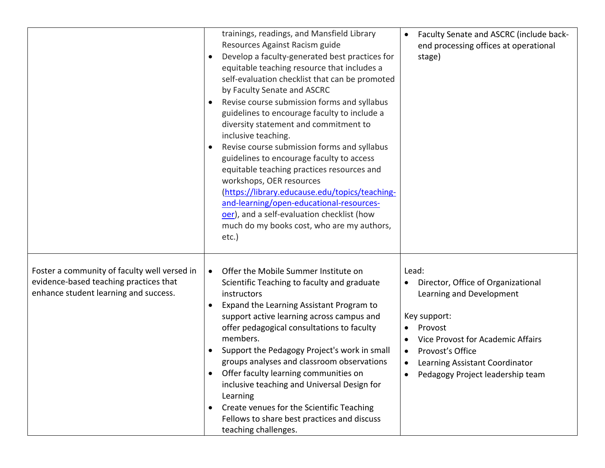|                                                                                                                                 | trainings, readings, and Mansfield Library<br>Resources Against Racism guide<br>Develop a faculty-generated best practices for<br>equitable teaching resource that includes a<br>self-evaluation checklist that can be promoted<br>by Faculty Senate and ASCRC<br>Revise course submission forms and syllabus<br>guidelines to encourage faculty to include a<br>diversity statement and commitment to<br>inclusive teaching.<br>Revise course submission forms and syllabus<br>$\bullet$<br>guidelines to encourage faculty to access<br>equitable teaching practices resources and<br>workshops, OER resources<br>(https://library.educause.edu/topics/teaching-<br>and-learning/open-educational-resources-<br>oer), and a self-evaluation checklist (how<br>much do my books cost, who are my authors,<br>$etc.$ ) | Faculty Senate and ASCRC (include back-<br>$\bullet$<br>end processing offices at operational<br>stage)                                                                                                                                                                                            |
|---------------------------------------------------------------------------------------------------------------------------------|------------------------------------------------------------------------------------------------------------------------------------------------------------------------------------------------------------------------------------------------------------------------------------------------------------------------------------------------------------------------------------------------------------------------------------------------------------------------------------------------------------------------------------------------------------------------------------------------------------------------------------------------------------------------------------------------------------------------------------------------------------------------------------------------------------------------|----------------------------------------------------------------------------------------------------------------------------------------------------------------------------------------------------------------------------------------------------------------------------------------------------|
| Foster a community of faculty well versed in<br>evidence-based teaching practices that<br>enhance student learning and success. | Offer the Mobile Summer Institute on<br>$\bullet$<br>Scientific Teaching to faculty and graduate<br>instructors<br>Expand the Learning Assistant Program to<br>support active learning across campus and<br>offer pedagogical consultations to faculty<br>members.<br>Support the Pedagogy Project's work in small<br>groups analyses and classroom observations<br>Offer faculty learning communities on<br>inclusive teaching and Universal Design for<br>Learning<br>Create venues for the Scientific Teaching<br>Fellows to share best practices and discuss<br>teaching challenges.                                                                                                                                                                                                                               | Lead:<br>Director, Office of Organizational<br>$\bullet$<br>Learning and Development<br>Key support:<br>Provost<br>$\bullet$<br>Vice Provost for Academic Affairs<br>$\bullet$<br>Provost's Office<br>$\bullet$<br>Learning Assistant Coordinator<br>$\bullet$<br>Pedagogy Project leadership team |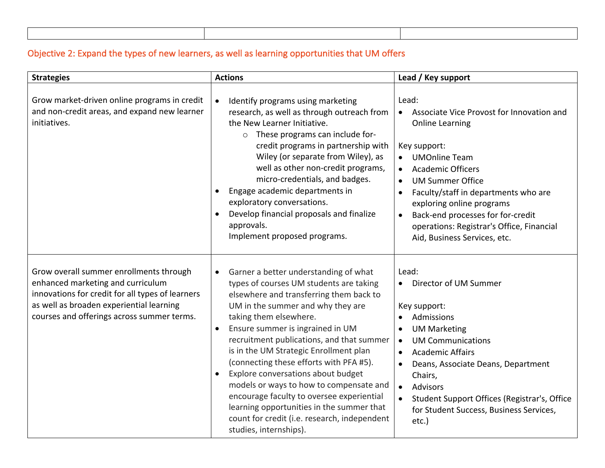# Objective 2: Expand the types of new learners, as well as learning opportunities that UM offers

| <b>Strategies</b>                                                                                                                                                                                                          | <b>Actions</b>                                                                                                                                                                                                                                                                                                                                                                                                                                                                                                                                                                                                                                  | Lead / Key support                                                                                                                                                                                                                                                                                                                                                                                                     |
|----------------------------------------------------------------------------------------------------------------------------------------------------------------------------------------------------------------------------|-------------------------------------------------------------------------------------------------------------------------------------------------------------------------------------------------------------------------------------------------------------------------------------------------------------------------------------------------------------------------------------------------------------------------------------------------------------------------------------------------------------------------------------------------------------------------------------------------------------------------------------------------|------------------------------------------------------------------------------------------------------------------------------------------------------------------------------------------------------------------------------------------------------------------------------------------------------------------------------------------------------------------------------------------------------------------------|
| Grow market-driven online programs in credit<br>and non-credit areas, and expand new learner<br>initiatives.                                                                                                               | Identify programs using marketing<br>research, as well as through outreach from<br>the New Learner Initiative.<br>These programs can include for-<br>$\circ$<br>credit programs in partnership with<br>Wiley (or separate from Wiley), as<br>well as other non-credit programs,<br>micro-credentials, and badges.<br>Engage academic departments in<br>exploratory conversations.<br>Develop financial proposals and finalize<br>approvals.<br>Implement proposed programs.                                                                                                                                                                     | Lead:<br>Associate Vice Provost for Innovation and<br>$\bullet$<br><b>Online Learning</b><br>Key support:<br><b>UMOnline Team</b><br>$\bullet$<br><b>Academic Officers</b><br><b>UM Summer Office</b><br>$\bullet$<br>Faculty/staff in departments who are<br>exploring online programs<br>Back-end processes for for-credit<br>$\bullet$<br>operations: Registrar's Office, Financial<br>Aid, Business Services, etc. |
| Grow overall summer enrollments through<br>enhanced marketing and curriculum<br>innovations for credit for all types of learners<br>as well as broaden experiential learning<br>courses and offerings across summer terms. | Garner a better understanding of what<br>$\bullet$<br>types of courses UM students are taking<br>elsewhere and transferring them back to<br>UM in the summer and why they are<br>taking them elsewhere.<br>Ensure summer is ingrained in UM<br>$\bullet$<br>recruitment publications, and that summer<br>is in the UM Strategic Enrollment plan<br>(connecting these efforts with PFA #5).<br>Explore conversations about budget<br>models or ways to how to compensate and<br>encourage faculty to oversee experiential<br>learning opportunities in the summer that<br>count for credit (i.e. research, independent<br>studies, internships). | Lead:<br>Director of UM Summer<br>$\bullet$<br>Key support:<br>Admissions<br><b>UM Marketing</b><br>$\bullet$<br><b>UM Communications</b><br><b>Academic Affairs</b><br>$\bullet$<br>Deans, Associate Deans, Department<br>$\bullet$<br>Chairs,<br><b>Advisors</b><br>$\bullet$<br>Student Support Offices (Registrar's, Office<br>for Student Success, Business Services,<br>etc.)                                    |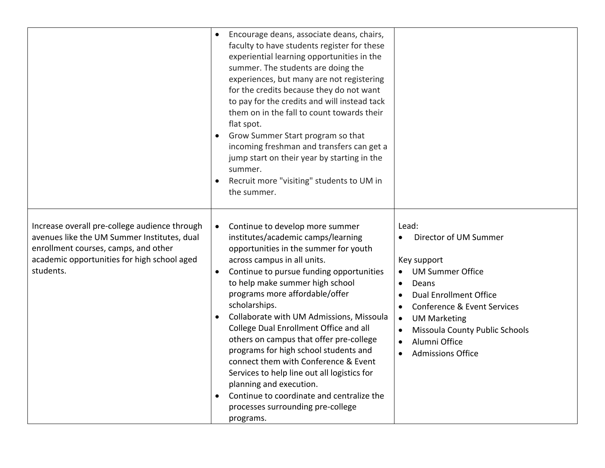|                                                                                                                                                                                                  | Encourage deans, associate deans, chairs,<br>faculty to have students register for these<br>experiential learning opportunities in the<br>summer. The students are doing the<br>experiences, but many are not registering<br>for the credits because they do not want<br>to pay for the credits and will instead tack<br>them on in the fall to count towards their<br>flat spot.<br>Grow Summer Start program so that<br>$\bullet$<br>incoming freshman and transfers can get a<br>jump start on their year by starting in the<br>summer.<br>Recruit more "visiting" students to UM in<br>$\bullet$<br>the summer.                                                                                                            |                                                                                                                                                                                                                                                                                                                                                    |
|--------------------------------------------------------------------------------------------------------------------------------------------------------------------------------------------------|--------------------------------------------------------------------------------------------------------------------------------------------------------------------------------------------------------------------------------------------------------------------------------------------------------------------------------------------------------------------------------------------------------------------------------------------------------------------------------------------------------------------------------------------------------------------------------------------------------------------------------------------------------------------------------------------------------------------------------|----------------------------------------------------------------------------------------------------------------------------------------------------------------------------------------------------------------------------------------------------------------------------------------------------------------------------------------------------|
| Increase overall pre-college audience through<br>avenues like the UM Summer Institutes, dual<br>enrollment courses, camps, and other<br>academic opportunities for high school aged<br>students. | Continue to develop more summer<br>$\bullet$<br>institutes/academic camps/learning<br>opportunities in the summer for youth<br>across campus in all units.<br>Continue to pursue funding opportunities<br>$\bullet$<br>to help make summer high school<br>programs more affordable/offer<br>scholarships.<br>Collaborate with UM Admissions, Missoula<br>$\bullet$<br>College Dual Enrollment Office and all<br>others on campus that offer pre-college<br>programs for high school students and<br>connect them with Conference & Event<br>Services to help line out all logistics for<br>planning and execution.<br>Continue to coordinate and centralize the<br>$\bullet$<br>processes surrounding pre-college<br>programs. | Lead:<br>Director of UM Summer<br>$\bullet$<br>Key support<br><b>UM Summer Office</b><br>Deans<br>$\bullet$<br><b>Dual Enrollment Office</b><br>$\bullet$<br>Conference & Event Services<br>$\bullet$<br><b>UM Marketing</b><br>$\bullet$<br>Missoula County Public Schools<br>$\bullet$<br>Alumni Office<br>$\bullet$<br><b>Admissions Office</b> |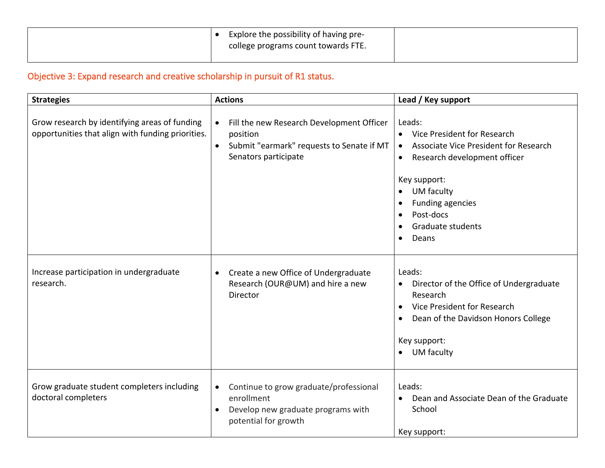| Explore the possibility of having pre-<br>college programs count towards FTE. |  |
|-------------------------------------------------------------------------------|--|
|                                                                               |  |

# Objective 3: Expand research and creative scholarship in pursuit of R1 status.

| <b>Strategies</b>                                                                                  | <b>Actions</b>                                                                                                                               | Lead / Key support                                                                                                                                                                                                                 |
|----------------------------------------------------------------------------------------------------|----------------------------------------------------------------------------------------------------------------------------------------------|------------------------------------------------------------------------------------------------------------------------------------------------------------------------------------------------------------------------------------|
| Grow research by identifying areas of funding<br>opportunities that align with funding priorities. | Fill the new Research Development Officer<br>$\bullet$<br>position<br>Submit "earmark" requests to Senate if MT<br>Senators participate      | Leads:<br>Vice President for Research<br>$\bullet$<br>Associate Vice President for Research<br>$\bullet$<br>Research development officer<br>$\bullet$<br>Key support:<br><b>UM</b> faculty<br><b>Funding agencies</b><br>$\bullet$ |
|                                                                                                    |                                                                                                                                              | Post-docs<br>$\bullet$<br><b>Graduate students</b><br>$\bullet$<br>Deans<br>$\bullet$                                                                                                                                              |
| Increase participation in undergraduate<br>research.                                               | Create a new Office of Undergraduate<br>$\bullet$<br>Research (OUR@UM) and hire a new<br>Director                                            | Leads:<br>Director of the Office of Undergraduate<br>$\bullet$<br>Research<br>Vice President for Research<br>$\bullet$<br>Dean of the Davidson Honors College<br>$\bullet$<br>Key support:<br>UM faculty<br>$\bullet$              |
| Grow graduate student completers including<br>doctoral completers                                  | Continue to grow graduate/professional<br>$\bullet$<br>enrollment<br>Develop new graduate programs with<br>$\bullet$<br>potential for growth | Leads:<br>Dean and Associate Dean of the Graduate<br>School<br>Key support:                                                                                                                                                        |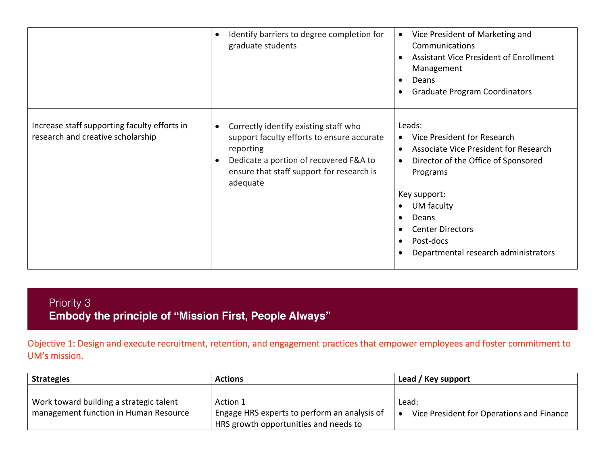|                                                                                   | Identify barriers to degree completion for<br>$\bullet$<br>graduate students                                                                                                                                                  | Vice President of Marketing and<br>$\bullet$<br>Communications<br><b>Assistant Vice President of Enrollment</b><br>$\bullet$<br>Management<br>Deans<br>$\bullet$<br><b>Graduate Program Coordinators</b><br>$\bullet$                                                                                                                                            |
|-----------------------------------------------------------------------------------|-------------------------------------------------------------------------------------------------------------------------------------------------------------------------------------------------------------------------------|------------------------------------------------------------------------------------------------------------------------------------------------------------------------------------------------------------------------------------------------------------------------------------------------------------------------------------------------------------------|
| Increase staff supporting faculty efforts in<br>research and creative scholarship | Correctly identify existing staff who<br>$\bullet$<br>support faculty efforts to ensure accurate<br>reporting<br>Dedicate a portion of recovered F&A to<br>$\bullet$<br>ensure that staff support for research is<br>adequate | Leads:<br>Vice President for Research<br>$\bullet$<br>Associate Vice President for Research<br>$\bullet$<br>Director of the Office of Sponsored<br>$\bullet$<br>Programs<br>Key support:<br>UM faculty<br>$\bullet$<br>Deans<br>$\bullet$<br><b>Center Directors</b><br>$\bullet$<br>Post-docs<br>$\bullet$<br>Departmental research administrators<br>$\bullet$ |

Priority 3 Embody the principle of "Mission First, People Always"

Objective 1: Design and execute recruitment, retention, and engagement practices that empower employees and foster commitment to UM's mission.

| <b>Strategies</b>                       | <b>Actions</b>                               | Lead / Key support                        |
|-----------------------------------------|----------------------------------------------|-------------------------------------------|
|                                         |                                              |                                           |
| Work toward building a strategic talent | Action 1                                     | Lead:                                     |
| management function in Human Resource   | Engage HRS experts to perform an analysis of | Vice President for Operations and Finance |
|                                         | HRS growth opportunities and needs to        |                                           |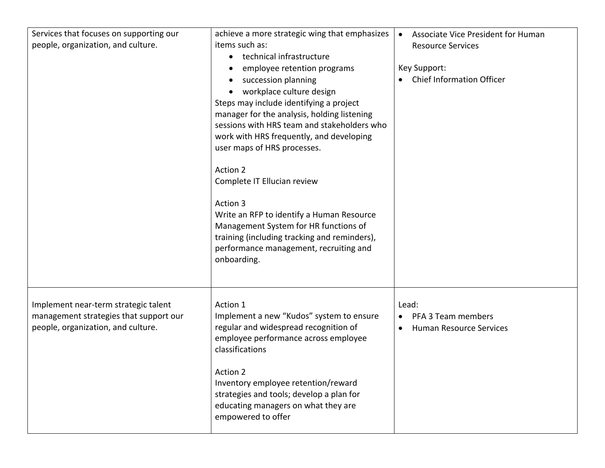| Services that focuses on supporting our<br>people, organization, and culture.                                        | achieve a more strategic wing that emphasizes<br>items such as:<br>technical infrastructure<br>$\bullet$<br>employee retention programs<br>succession planning<br>workplace culture design<br>Steps may include identifying a project<br>manager for the analysis, holding listening<br>sessions with HRS team and stakeholders who<br>work with HRS frequently, and developing<br>user maps of HRS processes.<br>Action 2<br>Complete IT Ellucian review<br>Action 3<br>Write an RFP to identify a Human Resource<br>Management System for HR functions of<br>training (including tracking and reminders),<br>performance management, recruiting and<br>onboarding. | Associate Vice President for Human<br><b>Resource Services</b><br>Key Support:<br><b>Chief Information Officer</b> |
|----------------------------------------------------------------------------------------------------------------------|----------------------------------------------------------------------------------------------------------------------------------------------------------------------------------------------------------------------------------------------------------------------------------------------------------------------------------------------------------------------------------------------------------------------------------------------------------------------------------------------------------------------------------------------------------------------------------------------------------------------------------------------------------------------|--------------------------------------------------------------------------------------------------------------------|
| Implement near-term strategic talent<br>management strategies that support our<br>people, organization, and culture. | Action 1<br>Implement a new "Kudos" system to ensure<br>regular and widespread recognition of<br>employee performance across employee<br>classifications<br>Action 2<br>Inventory employee retention/reward<br>strategies and tools; develop a plan for<br>educating managers on what they are<br>empowered to offer                                                                                                                                                                                                                                                                                                                                                 | Lead:<br>PFA 3 Team members<br><b>Human Resource Services</b><br>$\bullet$                                         |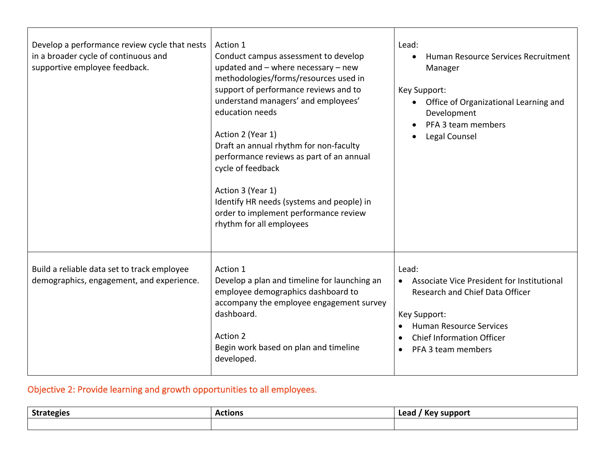| Develop a performance review cycle that nests<br>in a broader cycle of continuous and<br>supportive employee feedback. | Action 1<br>Conduct campus assessment to develop<br>updated and $-$ where necessary $-$ new<br>methodologies/forms/resources used in<br>support of performance reviews and to<br>understand managers' and employees'<br>education needs<br>Action 2 (Year 1)<br>Draft an annual rhythm for non-faculty<br>performance reviews as part of an annual<br>cycle of feedback<br>Action 3 (Year 1)<br>Identify HR needs (systems and people) in<br>order to implement performance review<br>rhythm for all employees | Lead:<br>Human Resource Services Recruitment<br>Manager<br>Key Support:<br>• Office of Organizational Learning and<br>Development<br>PFA 3 team members<br>Legal Counsel                                                     |
|------------------------------------------------------------------------------------------------------------------------|----------------------------------------------------------------------------------------------------------------------------------------------------------------------------------------------------------------------------------------------------------------------------------------------------------------------------------------------------------------------------------------------------------------------------------------------------------------------------------------------------------------|------------------------------------------------------------------------------------------------------------------------------------------------------------------------------------------------------------------------------|
| Build a reliable data set to track employee<br>demographics, engagement, and experience.                               | Action 1<br>Develop a plan and timeline for launching an<br>employee demographics dashboard to<br>accompany the employee engagement survey<br>dashboard.<br>Action 2<br>Begin work based on plan and timeline<br>developed.                                                                                                                                                                                                                                                                                    | Lead:<br>Associate Vice President for Institutional<br>Research and Chief Data Officer<br>Key Support:<br><b>Human Resource Services</b><br><b>Chief Information Officer</b><br>$\bullet$<br>PFA 3 team members<br>$\bullet$ |

#### Objective 2: Provide learning and growth opportunities to all employees.

| <b>Strategies</b><br><b>JUL</b> | <b>Actions</b> | . .<br>Lead<br>support<br><b>Kev</b> |
|---------------------------------|----------------|--------------------------------------|
|                                 |                |                                      |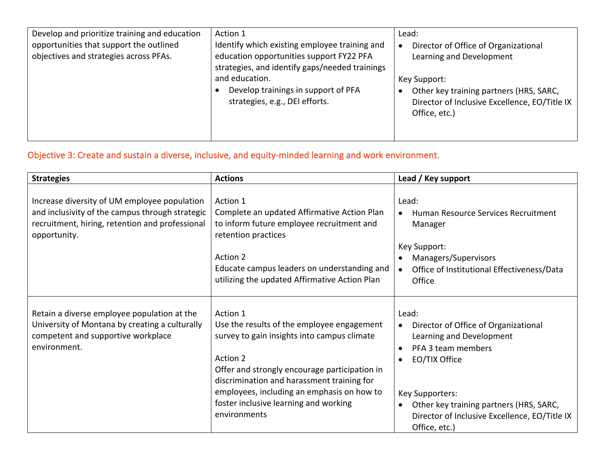| Develop and prioritize training and education<br>opportunities that support the outlined<br>objectives and strategies across PFAs. | Action 1<br>Identify which existing employee training and<br>education opportunities support FY22 PFA<br>strategies, and identify gaps/needed trainings<br>and education.<br>Develop trainings in support of PFA<br>strategies, e.g., DEI efforts. | Lead:<br>Director of Office of Organizational<br>Learning and Development<br>Key Support:<br>Other key training partners (HRS, SARC,<br>Director of Inclusive Excellence, EO/Title IX<br>Office, etc.) |
|------------------------------------------------------------------------------------------------------------------------------------|----------------------------------------------------------------------------------------------------------------------------------------------------------------------------------------------------------------------------------------------------|--------------------------------------------------------------------------------------------------------------------------------------------------------------------------------------------------------|
|------------------------------------------------------------------------------------------------------------------------------------|----------------------------------------------------------------------------------------------------------------------------------------------------------------------------------------------------------------------------------------------------|--------------------------------------------------------------------------------------------------------------------------------------------------------------------------------------------------------|

# Objective 3: Create and sustain a diverse, inclusive, and equity-minded learning and work environment.

| <b>Strategies</b>                                                                                                                                                  | <b>Actions</b>                                                                                                                                                                                                                                                                                                          | Lead / Key support                                                                                                                                                                                                                                                                                   |
|--------------------------------------------------------------------------------------------------------------------------------------------------------------------|-------------------------------------------------------------------------------------------------------------------------------------------------------------------------------------------------------------------------------------------------------------------------------------------------------------------------|------------------------------------------------------------------------------------------------------------------------------------------------------------------------------------------------------------------------------------------------------------------------------------------------------|
| Increase diversity of UM employee population<br>and inclusivity of the campus through strategic<br>recruitment, hiring, retention and professional<br>opportunity. | Action 1<br>Complete an updated Affirmative Action Plan<br>to inform future employee recruitment and<br>retention practices<br>Action 2<br>Educate campus leaders on understanding and<br>utilizing the updated Affirmative Action Plan                                                                                 | Lead:<br>Human Resource Services Recruitment<br>$\bullet$<br>Manager<br>Key Support:<br>Managers/Supervisors<br>$\bullet$<br>Office of Institutional Effectiveness/Data<br>$\bullet$<br>Office                                                                                                       |
| Retain a diverse employee population at the<br>University of Montana by creating a culturally<br>competent and supportive workplace<br>environment.                | Action 1<br>Use the results of the employee engagement<br>survey to gain insights into campus climate<br>Action 2<br>Offer and strongly encourage participation in<br>discrimination and harassment training for<br>employees, including an emphasis on how to<br>foster inclusive learning and working<br>environments | Lead:<br>Director of Office of Organizational<br>$\bullet$<br>Learning and Development<br>PFA 3 team members<br>$\bullet$<br>EO/TIX Office<br>$\bullet$<br>Key Supporters:<br>Other key training partners (HRS, SARC,<br>$\bullet$<br>Director of Inclusive Excellence, EO/Title IX<br>Office, etc.) |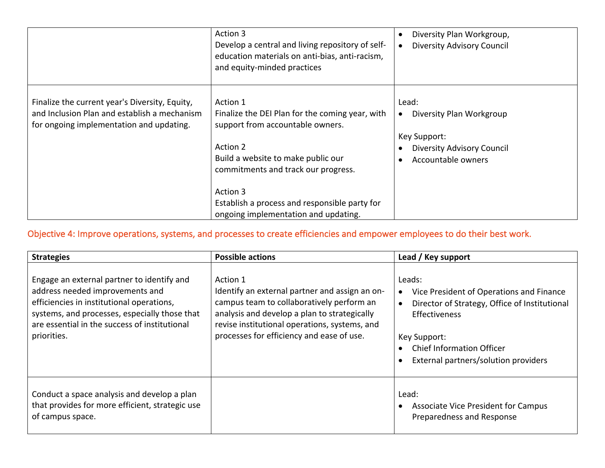|                                                                                                                                            | Action 3<br>Develop a central and living repository of self-<br>education materials on anti-bias, anti-racism,<br>and equity-minded practices                                                                                                                                                 | Diversity Plan Workgroup,<br>$\bullet$<br><b>Diversity Advisory Council</b>                                               |
|--------------------------------------------------------------------------------------------------------------------------------------------|-----------------------------------------------------------------------------------------------------------------------------------------------------------------------------------------------------------------------------------------------------------------------------------------------|---------------------------------------------------------------------------------------------------------------------------|
| Finalize the current year's Diversity, Equity,<br>and Inclusion Plan and establish a mechanism<br>for ongoing implementation and updating. | Action 1<br>Finalize the DEI Plan for the coming year, with<br>support from accountable owners.<br>Action 2<br>Build a website to make public our<br>commitments and track our progress.<br>Action 3<br>Establish a process and responsible party for<br>ongoing implementation and updating. | Lead:<br>Diversity Plan Workgroup<br>$\bullet$<br>Key Support:<br><b>Diversity Advisory Council</b><br>Accountable owners |

#### Objective 4: Improve operations, systems, and processes to create efficiencies and empower employees to do their best work.

| <b>Strategies</b>                                                                                                                                                                                                                           | <b>Possible actions</b>                                                                                                                                                                                                                               | Lead / Key support                                                                                                                                                                                                                                             |
|---------------------------------------------------------------------------------------------------------------------------------------------------------------------------------------------------------------------------------------------|-------------------------------------------------------------------------------------------------------------------------------------------------------------------------------------------------------------------------------------------------------|----------------------------------------------------------------------------------------------------------------------------------------------------------------------------------------------------------------------------------------------------------------|
| Engage an external partner to identify and<br>address needed improvements and<br>efficiencies in institutional operations,<br>systems, and processes, especially those that<br>are essential in the success of institutional<br>priorities. | Action 1<br>Identify an external partner and assign an on-<br>campus team to collaboratively perform an<br>analysis and develop a plan to strategically<br>revise institutional operations, systems, and<br>processes for efficiency and ease of use. | Leads:<br>Vice President of Operations and Finance<br>$\bullet$<br>Director of Strategy, Office of Institutional<br>$\bullet$<br><b>Effectiveness</b><br>Key Support:<br><b>Chief Information Officer</b><br>External partners/solution providers<br>$\bullet$ |
| Conduct a space analysis and develop a plan<br>that provides for more efficient, strategic use<br>of campus space.                                                                                                                          |                                                                                                                                                                                                                                                       | Lead:<br>Associate Vice President for Campus<br>Preparedness and Response                                                                                                                                                                                      |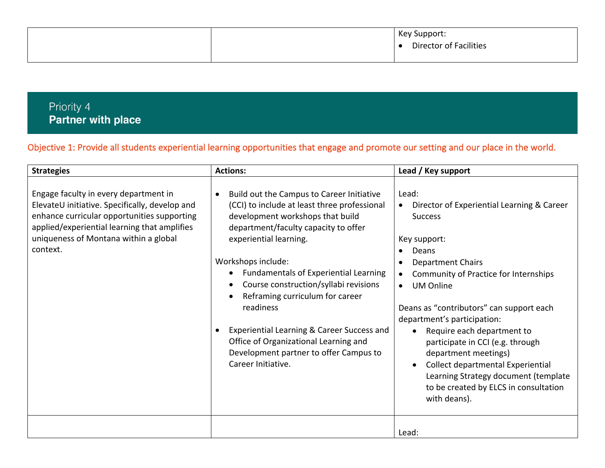|  | Key Support:<br><b>Director of Facilities</b> |
|--|-----------------------------------------------|
|  |                                               |

# Priority 4 **Partner with place**

#### Objective 1: Provide all students experiential learning opportunities that engage and promote our setting and our place in the world.

| <b>Strategies</b>                                                                                                                                                                                                                           | <b>Actions:</b>                                                                                                                                                                                                                                                                                                                                                                                                                                                                                                       | Lead / Key support                                                                                                                                                                                                                                                                                                                                                                                                                                                                                                                        |
|---------------------------------------------------------------------------------------------------------------------------------------------------------------------------------------------------------------------------------------------|-----------------------------------------------------------------------------------------------------------------------------------------------------------------------------------------------------------------------------------------------------------------------------------------------------------------------------------------------------------------------------------------------------------------------------------------------------------------------------------------------------------------------|-------------------------------------------------------------------------------------------------------------------------------------------------------------------------------------------------------------------------------------------------------------------------------------------------------------------------------------------------------------------------------------------------------------------------------------------------------------------------------------------------------------------------------------------|
| Engage faculty in every department in<br>ElevateU initiative. Specifically, develop and<br>enhance curricular opportunities supporting<br>applied/experiential learning that amplifies<br>uniqueness of Montana within a global<br>context. | Build out the Campus to Career Initiative<br>(CCI) to include at least three professional<br>development workshops that build<br>department/faculty capacity to offer<br>experiential learning.<br>Workshops include:<br><b>Fundamentals of Experiential Learning</b><br>Course construction/syllabi revisions<br>Reframing curriculum for career<br>readiness<br>Experiential Learning & Career Success and<br>Office of Organizational Learning and<br>Development partner to offer Campus to<br>Career Initiative. | Lead:<br>Director of Experiential Learning & Career<br><b>Success</b><br>Key support:<br>Deans<br><b>Department Chairs</b><br>Community of Practice for Internships<br><b>UM Online</b><br>$\bullet$<br>Deans as "contributors" can support each<br>department's participation:<br>Require each department to<br>$\bullet$<br>participate in CCI (e.g. through<br>department meetings)<br>Collect departmental Experiential<br>$\bullet$<br>Learning Strategy document (template<br>to be created by ELCS in consultation<br>with deans). |
|                                                                                                                                                                                                                                             |                                                                                                                                                                                                                                                                                                                                                                                                                                                                                                                       | Lead:                                                                                                                                                                                                                                                                                                                                                                                                                                                                                                                                     |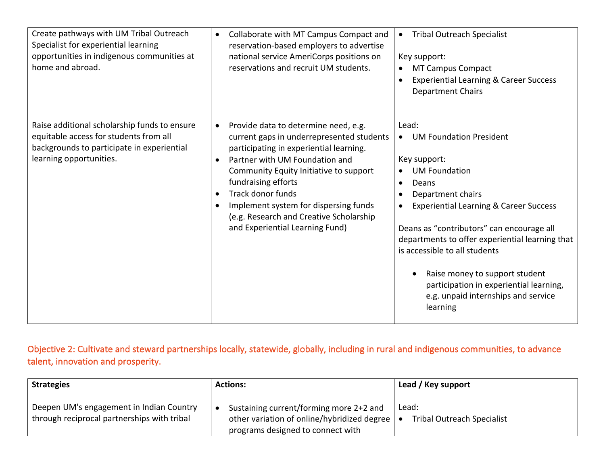| Create pathways with UM Tribal Outreach<br>Specialist for experiential learning<br>opportunities in indigenous communities at<br>home and abroad.               | Collaborate with MT Campus Compact and<br>$\bullet$<br>reservation-based employers to advertise<br>national service AmeriCorps positions on<br>reservations and recruit UM students.                                                                                                                                                                                                                  | <b>Tribal Outreach Specialist</b><br>$\bullet$<br>Key support:<br><b>MT Campus Compact</b><br>$\bullet$<br><b>Experiential Learning &amp; Career Success</b><br>$\bullet$<br><b>Department Chairs</b>                                                                                                                                                                                                                                                                                                |
|-----------------------------------------------------------------------------------------------------------------------------------------------------------------|-------------------------------------------------------------------------------------------------------------------------------------------------------------------------------------------------------------------------------------------------------------------------------------------------------------------------------------------------------------------------------------------------------|------------------------------------------------------------------------------------------------------------------------------------------------------------------------------------------------------------------------------------------------------------------------------------------------------------------------------------------------------------------------------------------------------------------------------------------------------------------------------------------------------|
| Raise additional scholarship funds to ensure<br>equitable access for students from all<br>backgrounds to participate in experiential<br>learning opportunities. | Provide data to determine need, e.g.<br>current gaps in underrepresented students<br>participating in experiential learning.<br>Partner with UM Foundation and<br>$\bullet$<br>Community Equity Initiative to support<br>fundraising efforts<br>Track donor funds<br>$\bullet$<br>Implement system for dispersing funds<br>(e.g. Research and Creative Scholarship<br>and Experiential Learning Fund) | Lead:<br><b>UM Foundation President</b><br>$\bullet$<br>Key support:<br><b>UM Foundation</b><br>$\bullet$<br>Deans<br>$\bullet$<br>Department chairs<br>$\bullet$<br><b>Experiential Learning &amp; Career Success</b><br>$\bullet$<br>Deans as "contributors" can encourage all<br>departments to offer experiential learning that<br>is accessible to all students<br>Raise money to support student<br>participation in experiential learning,<br>e.g. unpaid internships and service<br>learning |

Objective 2: Cultivate and steward partnerships locally, statewide, globally, including in rural and indigenous communities, to advance talent, innovation and prosperity.

| <b>Strategies</b>                                                                       | <b>Actions:</b>                                                                                                                 | Lead / Key support                         |
|-----------------------------------------------------------------------------------------|---------------------------------------------------------------------------------------------------------------------------------|--------------------------------------------|
| Deepen UM's engagement in Indian Country<br>through reciprocal partnerships with tribal | Sustaining current/forming more 2+2 and<br>other variation of online/hybridized degree   •<br>programs designed to connect with | Lead:<br><b>Tribal Outreach Specialist</b> |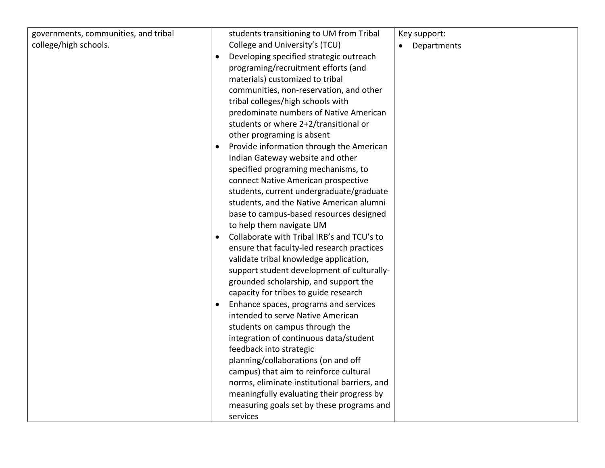| governments, communities, and tribal |           | students transitioning to UM from Tribal     | Key support: |
|--------------------------------------|-----------|----------------------------------------------|--------------|
| college/high schools.                |           | College and University's (TCU)               | Departments  |
|                                      |           | Developing specified strategic outreach      |              |
|                                      |           | programing/recruitment efforts (and          |              |
|                                      |           | materials) customized to tribal              |              |
|                                      |           | communities, non-reservation, and other      |              |
|                                      |           | tribal colleges/high schools with            |              |
|                                      |           | predominate numbers of Native American       |              |
|                                      |           | students or where 2+2/transitional or        |              |
|                                      |           | other programing is absent                   |              |
|                                      |           | Provide information through the American     |              |
|                                      |           | Indian Gateway website and other             |              |
|                                      |           | specified programing mechanisms, to          |              |
|                                      |           | connect Native American prospective          |              |
|                                      |           | students, current undergraduate/graduate     |              |
|                                      |           | students, and the Native American alumni     |              |
|                                      |           | base to campus-based resources designed      |              |
|                                      |           | to help them navigate UM                     |              |
|                                      | $\bullet$ | Collaborate with Tribal IRB's and TCU's to   |              |
|                                      |           | ensure that faculty-led research practices   |              |
|                                      |           | validate tribal knowledge application,       |              |
|                                      |           | support student development of culturally-   |              |
|                                      |           | grounded scholarship, and support the        |              |
|                                      |           | capacity for tribes to guide research        |              |
|                                      | $\bullet$ | Enhance spaces, programs and services        |              |
|                                      |           | intended to serve Native American            |              |
|                                      |           | students on campus through the               |              |
|                                      |           | integration of continuous data/student       |              |
|                                      |           | feedback into strategic                      |              |
|                                      |           | planning/collaborations (on and off          |              |
|                                      |           | campus) that aim to reinforce cultural       |              |
|                                      |           | norms, eliminate institutional barriers, and |              |
|                                      |           | meaningfully evaluating their progress by    |              |
|                                      |           | measuring goals set by these programs and    |              |
|                                      |           | services                                     |              |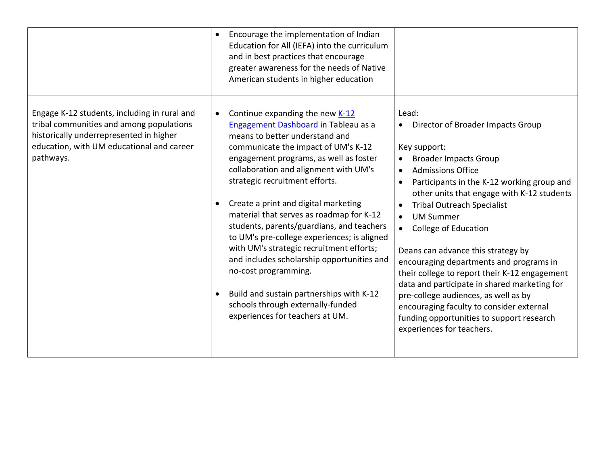|                                                                                                                                                                                               | Encourage the implementation of Indian<br>Education for All (IEFA) into the curriculum<br>and in best practices that encourage<br>greater awareness for the needs of Native<br>American students in higher education                                                                                                                                                                                                                                                                                                                                                                                                                                                                        |                                                                                                                                                                                                                                                                                                                                                                                                                                                                                                                                                                                                                                                                               |
|-----------------------------------------------------------------------------------------------------------------------------------------------------------------------------------------------|---------------------------------------------------------------------------------------------------------------------------------------------------------------------------------------------------------------------------------------------------------------------------------------------------------------------------------------------------------------------------------------------------------------------------------------------------------------------------------------------------------------------------------------------------------------------------------------------------------------------------------------------------------------------------------------------|-------------------------------------------------------------------------------------------------------------------------------------------------------------------------------------------------------------------------------------------------------------------------------------------------------------------------------------------------------------------------------------------------------------------------------------------------------------------------------------------------------------------------------------------------------------------------------------------------------------------------------------------------------------------------------|
| Engage K-12 students, including in rural and<br>tribal communities and among populations<br>historically underrepresented in higher<br>education, with UM educational and career<br>pathways. | Continue expanding the new K-12<br>Engagement Dashboard in Tableau as a<br>means to better understand and<br>communicate the impact of UM's K-12<br>engagement programs, as well as foster<br>collaboration and alignment with UM's<br>strategic recruitment efforts.<br>Create a print and digital marketing<br>material that serves as roadmap for K-12<br>students, parents/guardians, and teachers<br>to UM's pre-college experiences; is aligned<br>with UM's strategic recruitment efforts;<br>and includes scholarship opportunities and<br>no-cost programming.<br>Build and sustain partnerships with K-12<br>schools through externally-funded<br>experiences for teachers at UM. | Lead:<br>Director of Broader Impacts Group<br>Key support:<br><b>Broader Impacts Group</b><br><b>Admissions Office</b><br>$\bullet$<br>Participants in the K-12 working group and<br>other units that engage with K-12 students<br><b>Tribal Outreach Specialist</b><br>$\bullet$<br><b>UM Summer</b><br>College of Education<br>Deans can advance this strategy by<br>encouraging departments and programs in<br>their college to report their K-12 engagement<br>data and participate in shared marketing for<br>pre-college audiences, as well as by<br>encouraging faculty to consider external<br>funding opportunities to support research<br>experiences for teachers. |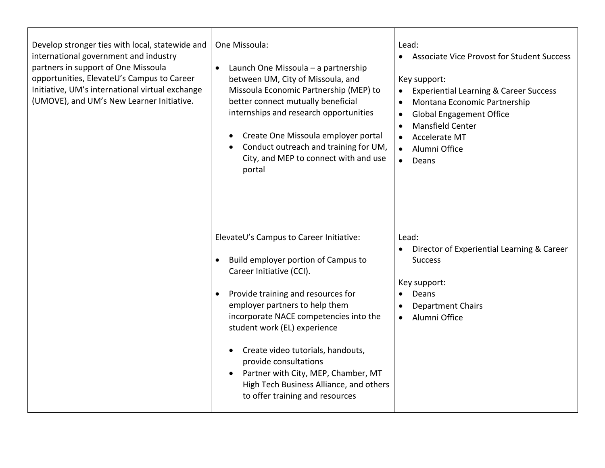| Develop stronger ties with local, statewide and<br>international government and industry<br>partners in support of One Missoula<br>opportunities, ElevateU's Campus to Career<br>Initiative, UM's international virtual exchange<br>(UMOVE), and UM's New Learner Initiative. | One Missoula:<br>Launch One Missoula - a partnership<br>$\bullet$<br>between UM, City of Missoula, and<br>Missoula Economic Partnership (MEP) to<br>better connect mutually beneficial<br>internships and research opportunities<br>Create One Missoula employer portal<br>$\bullet$<br>Conduct outreach and training for UM,<br>City, and MEP to connect with and use<br>portal                                                                                          | Lead:<br><b>Associate Vice Provost for Student Success</b><br>$\bullet$<br>Key support:<br><b>Experiential Learning &amp; Career Success</b><br>Montana Economic Partnership<br>$\bullet$<br><b>Global Engagement Office</b><br>$\bullet$<br><b>Mansfield Center</b><br>$\bullet$<br><b>Accelerate MT</b><br>$\bullet$<br>Alumni Office<br>$\bullet$<br>Deans<br>$\bullet$ |
|-------------------------------------------------------------------------------------------------------------------------------------------------------------------------------------------------------------------------------------------------------------------------------|---------------------------------------------------------------------------------------------------------------------------------------------------------------------------------------------------------------------------------------------------------------------------------------------------------------------------------------------------------------------------------------------------------------------------------------------------------------------------|----------------------------------------------------------------------------------------------------------------------------------------------------------------------------------------------------------------------------------------------------------------------------------------------------------------------------------------------------------------------------|
|                                                                                                                                                                                                                                                                               | ElevateU's Campus to Career Initiative:<br>Build employer portion of Campus to<br>Career Initiative (CCI).<br>Provide training and resources for<br>$\bullet$<br>employer partners to help them<br>incorporate NACE competencies into the<br>student work (EL) experience<br>Create video tutorials, handouts,<br>$\bullet$<br>provide consultations<br>Partner with City, MEP, Chamber, MT<br>High Tech Business Alliance, and others<br>to offer training and resources | Lead:<br>Director of Experiential Learning & Career<br><b>Success</b><br>Key support:<br>Deans<br>$\bullet$<br><b>Department Chairs</b><br>$\bullet$<br>Alumni Office<br>$\bullet$                                                                                                                                                                                         |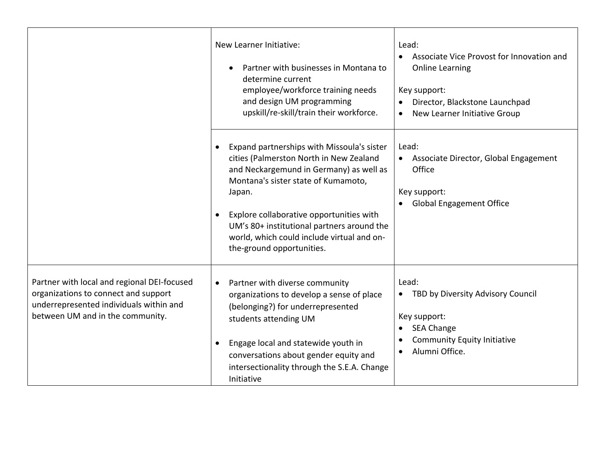|                                                                                                                                                                    | New Learner Initiative:<br>Partner with businesses in Montana to<br>$\bullet$<br>determine current<br>employee/workforce training needs<br>and design UM programming<br>upskill/re-skill/train their workforce.                                                                                                                                        | Lead:<br>Associate Vice Provost for Innovation and<br><b>Online Learning</b><br>Key support:<br>Director, Blackstone Launchpad<br>New Learner Initiative Group<br>$\bullet$          |
|--------------------------------------------------------------------------------------------------------------------------------------------------------------------|--------------------------------------------------------------------------------------------------------------------------------------------------------------------------------------------------------------------------------------------------------------------------------------------------------------------------------------------------------|--------------------------------------------------------------------------------------------------------------------------------------------------------------------------------------|
|                                                                                                                                                                    | Expand partnerships with Missoula's sister<br>cities (Palmerston North in New Zealand<br>and Neckargemund in Germany) as well as<br>Montana's sister state of Kumamoto,<br>Japan.<br>Explore collaborative opportunities with<br>UM's 80+ institutional partners around the<br>world, which could include virtual and on-<br>the-ground opportunities. | Lead:<br>Associate Director, Global Engagement<br>$\bullet$<br>Office<br>Key support:<br><b>Global Engagement Office</b>                                                             |
| Partner with local and regional DEI-focused<br>organizations to connect and support<br>underrepresented individuals within and<br>between UM and in the community. | Partner with diverse community<br>organizations to develop a sense of place<br>(belonging?) for underrepresented<br>students attending UM<br>Engage local and statewide youth in<br>conversations about gender equity and<br>intersectionality through the S.E.A. Change<br>Initiative                                                                 | Lead:<br>TBD by Diversity Advisory Council<br>$\bullet$<br>Key support:<br>SEA Change<br>$\bullet$<br><b>Community Equity Initiative</b><br>$\bullet$<br>Alumni Office.<br>$\bullet$ |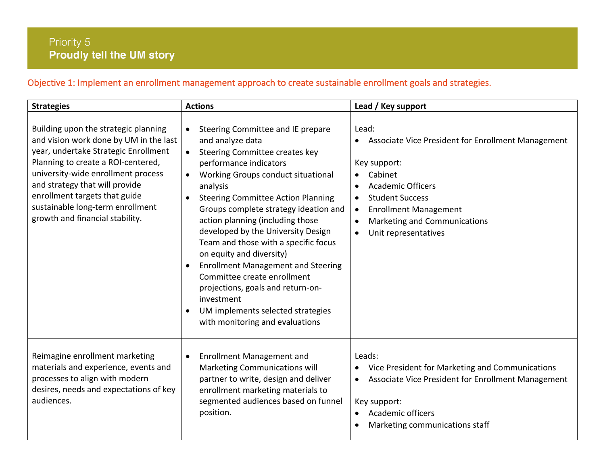# Objective 1: Implement an enrollment management approach to create sustainable enrollment goals and strategies.

| <b>Strategies</b>                                                                                                                                                                                                                                                                                                                            | <b>Actions</b>                                                                                                                                                                                                                                                                                                                                                                                                                                                                                                                                                                                                              | Lead / Key support                                                                                                                                                                                                                                                                                                 |
|----------------------------------------------------------------------------------------------------------------------------------------------------------------------------------------------------------------------------------------------------------------------------------------------------------------------------------------------|-----------------------------------------------------------------------------------------------------------------------------------------------------------------------------------------------------------------------------------------------------------------------------------------------------------------------------------------------------------------------------------------------------------------------------------------------------------------------------------------------------------------------------------------------------------------------------------------------------------------------------|--------------------------------------------------------------------------------------------------------------------------------------------------------------------------------------------------------------------------------------------------------------------------------------------------------------------|
| Building upon the strategic planning<br>and vision work done by UM in the last<br>year, undertake Strategic Enrollment<br>Planning to create a ROI-centered,<br>university-wide enrollment process<br>and strategy that will provide<br>enrollment targets that guide<br>sustainable long-term enrollment<br>growth and financial stability. | Steering Committee and IE prepare<br>and analyze data<br>Steering Committee creates key<br>$\bullet$<br>performance indicators<br>Working Groups conduct situational<br>analysis<br><b>Steering Committee Action Planning</b><br>Groups complete strategy ideation and<br>action planning (including those<br>developed by the University Design<br>Team and those with a specific focus<br>on equity and diversity)<br><b>Enrollment Management and Steering</b><br>Committee create enrollment<br>projections, goals and return-on-<br>investment<br>UM implements selected strategies<br>with monitoring and evaluations | Lead:<br>Associate Vice President for Enrollment Management<br>$\bullet$<br>Key support:<br>Cabinet<br><b>Academic Officers</b><br>$\bullet$<br><b>Student Success</b><br>$\bullet$<br><b>Enrollment Management</b><br>$\bullet$<br>Marketing and Communications<br>$\bullet$<br>Unit representatives<br>$\bullet$ |
| Reimagine enrollment marketing<br>materials and experience, events and<br>processes to align with modern<br>desires, needs and expectations of key<br>audiences.                                                                                                                                                                             | <b>Enrollment Management and</b><br>$\bullet$<br>Marketing Communications will<br>partner to write, design and deliver<br>enrollment marketing materials to<br>segmented audiences based on funnel<br>position.                                                                                                                                                                                                                                                                                                                                                                                                             | Leads:<br>Vice President for Marketing and Communications<br>$\bullet$<br>Associate Vice President for Enrollment Management<br>$\bullet$<br>Key support:<br>Academic officers<br>$\bullet$<br>Marketing communications staff                                                                                      |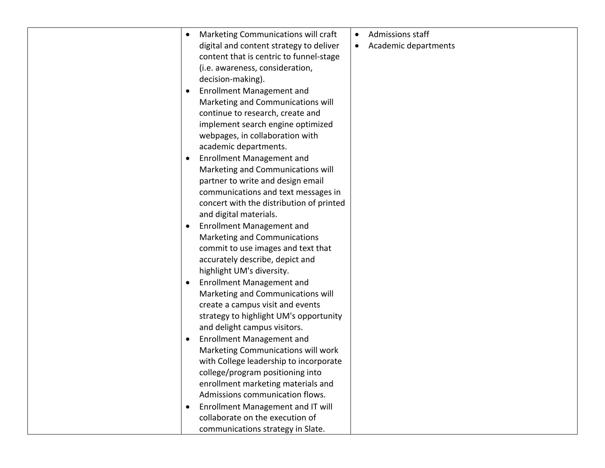| Admissions staff<br>Marketing Communications will craft<br>$\bullet$         |
|------------------------------------------------------------------------------|
| digital and content strategy to deliver<br>Academic departments<br>$\bullet$ |
| content that is centric to funnel-stage                                      |
| (i.e. awareness, consideration,                                              |
| decision-making).                                                            |
| <b>Enrollment Management and</b>                                             |
| Marketing and Communications will                                            |
| continue to research, create and                                             |
| implement search engine optimized                                            |
| webpages, in collaboration with                                              |
| academic departments.                                                        |
| <b>Enrollment Management and</b>                                             |
| Marketing and Communications will                                            |
| partner to write and design email                                            |
| communications and text messages in                                          |
| concert with the distribution of printed                                     |
| and digital materials.                                                       |
| <b>Enrollment Management and</b>                                             |
| Marketing and Communications                                                 |
| commit to use images and text that                                           |
| accurately describe, depict and                                              |
| highlight UM's diversity.                                                    |
| <b>Enrollment Management and</b>                                             |
| Marketing and Communications will                                            |
| create a campus visit and events                                             |
| strategy to highlight UM's opportunity                                       |
| and delight campus visitors.                                                 |
| <b>Enrollment Management and</b>                                             |
| Marketing Communications will work                                           |
| with College leadership to incorporate                                       |
| college/program positioning into                                             |
| enrollment marketing materials and                                           |
| Admissions communication flows.                                              |
| Enrollment Management and IT will                                            |
| collaborate on the execution of                                              |
| communications strategy in Slate.                                            |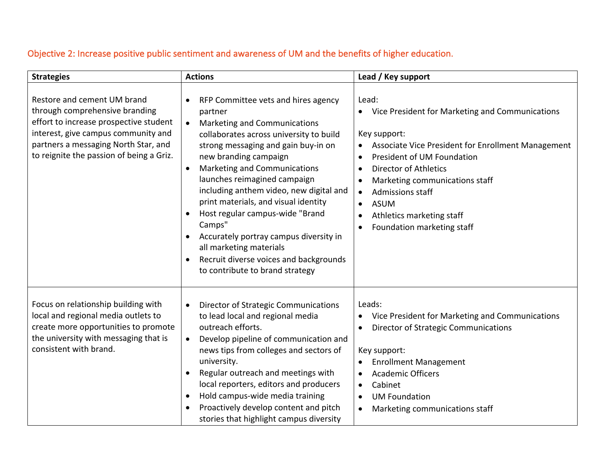# Objective 2: Increase positive public sentiment and awareness of UM and the benefits of higher education.

| <b>Strategies</b>                                                                                                                                                                                                                  | <b>Actions</b>                                                                                                                                                                                                                                                                                                                                                                                                                                                                                                                                           | Lead / Key support                                                                                                                                                                                                                                                                                                                                                  |
|------------------------------------------------------------------------------------------------------------------------------------------------------------------------------------------------------------------------------------|----------------------------------------------------------------------------------------------------------------------------------------------------------------------------------------------------------------------------------------------------------------------------------------------------------------------------------------------------------------------------------------------------------------------------------------------------------------------------------------------------------------------------------------------------------|---------------------------------------------------------------------------------------------------------------------------------------------------------------------------------------------------------------------------------------------------------------------------------------------------------------------------------------------------------------------|
| Restore and cement UM brand<br>through comprehensive branding<br>effort to increase prospective student<br>interest, give campus community and<br>partners a messaging North Star, and<br>to reignite the passion of being a Griz. | RFP Committee vets and hires agency<br>partner<br>Marketing and Communications<br>collaborates across university to build<br>strong messaging and gain buy-in on<br>new branding campaign<br>Marketing and Communications<br>$\bullet$<br>launches reimagined campaign<br>including anthem video, new digital and<br>print materials, and visual identity<br>Host regular campus-wide "Brand<br>Camps"<br>Accurately portray campus diversity in<br>all marketing materials<br>Recruit diverse voices and backgrounds<br>to contribute to brand strategy | Lead:<br>Vice President for Marketing and Communications<br>Key support:<br>Associate Vice President for Enrollment Management<br>President of UM Foundation<br><b>Director of Athletics</b><br>Marketing communications staff<br>Admissions staff<br>$\bullet$<br><b>ASUM</b><br>$\bullet$<br>Athletics marketing staff<br>$\bullet$<br>Foundation marketing staff |
| Focus on relationship building with<br>local and regional media outlets to<br>create more opportunities to promote<br>the university with messaging that is<br>consistent with brand.                                              | <b>Director of Strategic Communications</b><br>$\bullet$<br>to lead local and regional media<br>outreach efforts.<br>Develop pipeline of communication and<br>$\bullet$<br>news tips from colleges and sectors of<br>university.<br>Regular outreach and meetings with<br>local reporters, editors and producers<br>Hold campus-wide media training<br>$\bullet$<br>Proactively develop content and pitch<br>stories that highlight campus diversity                                                                                                     | Leads:<br>Vice President for Marketing and Communications<br><b>Director of Strategic Communications</b><br>$\bullet$<br>Key support:<br><b>Enrollment Management</b><br>$\bullet$<br><b>Academic Officers</b><br>Cabinet<br>$\bullet$<br><b>UM Foundation</b><br>Marketing communications staff<br>$\bullet$                                                       |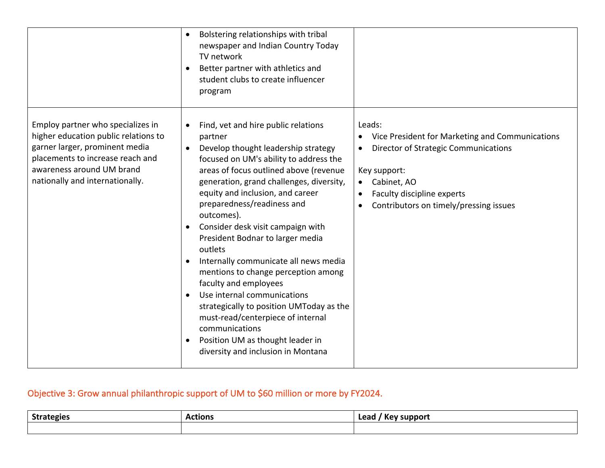|                                                                                                                                                                                                                 | Bolstering relationships with tribal<br>$\bullet$<br>newspaper and Indian Country Today<br>TV network<br>Better partner with athletics and<br>student clubs to create influencer<br>program                                                                                                                                                                                                                                                                                                                                                                                                                                                                                                                                                           |                                                                                                                                                                                                                 |
|-----------------------------------------------------------------------------------------------------------------------------------------------------------------------------------------------------------------|-------------------------------------------------------------------------------------------------------------------------------------------------------------------------------------------------------------------------------------------------------------------------------------------------------------------------------------------------------------------------------------------------------------------------------------------------------------------------------------------------------------------------------------------------------------------------------------------------------------------------------------------------------------------------------------------------------------------------------------------------------|-----------------------------------------------------------------------------------------------------------------------------------------------------------------------------------------------------------------|
| Employ partner who specializes in<br>higher education public relations to<br>garner larger, prominent media<br>placements to increase reach and<br>awareness around UM brand<br>nationally and internationally. | Find, vet and hire public relations<br>partner<br>Develop thought leadership strategy<br>$\bullet$<br>focused on UM's ability to address the<br>areas of focus outlined above (revenue<br>generation, grand challenges, diversity,<br>equity and inclusion, and career<br>preparedness/readiness and<br>outcomes).<br>Consider desk visit campaign with<br>$\bullet$<br>President Bodnar to larger media<br>outlets<br>Internally communicate all news media<br>mentions to change perception among<br>faculty and employees<br>Use internal communications<br>$\bullet$<br>strategically to position UMToday as the<br>must-read/centerpiece of internal<br>communications<br>Position UM as thought leader in<br>diversity and inclusion in Montana | Leads:<br>Vice President for Marketing and Communications<br><b>Director of Strategic Communications</b><br>Key support:<br>Cabinet, AO<br>Faculty discipline experts<br>Contributors on timely/pressing issues |

# Objective 3: Grow annual philanthropic support of UM to \$60 million or more by FY2024.

| <b>Strategies</b> | <b>\ctions</b> | Lead<br>support<br><b>Kev</b> |
|-------------------|----------------|-------------------------------|
|                   |                |                               |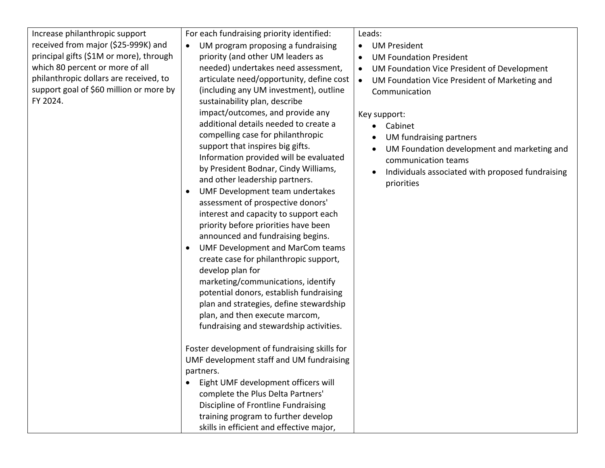| Increase philanthropic support<br>received from major (\$25-999K) and<br>principal gifts (\$1M or more), through<br>which 80 percent or more of all<br>philanthropic dollars are received, to<br>support goal of \$60 million or more by<br>FY 2024. | For each fundraising priority identified:<br>UM program proposing a fundraising<br>$\bullet$<br>priority (and other UM leaders as<br>needed) undertakes need assessment,<br>articulate need/opportunity, define cost<br>(including any UM investment), outline<br>sustainability plan, describe<br>impact/outcomes, and provide any<br>additional details needed to create a<br>compelling case for philanthropic<br>support that inspires big gifts.<br>Information provided will be evaluated<br>by President Bodnar, Cindy Williams,<br>and other leadership partners.<br>UMF Development team undertakes<br>assessment of prospective donors'<br>interest and capacity to support each<br>priority before priorities have been<br>announced and fundraising begins.<br><b>UMF Development and MarCom teams</b><br>create case for philanthropic support,<br>develop plan for<br>marketing/communications, identify<br>potential donors, establish fundraising<br>plan and strategies, define stewardship<br>plan, and then execute marcom,<br>fundraising and stewardship activities. | Leads:<br><b>UM President</b><br>$\bullet$<br><b>UM Foundation President</b><br>$\bullet$<br>UM Foundation Vice President of Development<br>$\bullet$<br>UM Foundation Vice President of Marketing and<br>$\bullet$<br>Communication<br>Key support:<br>Cabinet<br>UM fundraising partners<br>$\bullet$<br>UM Foundation development and marketing and<br>communication teams<br>Individuals associated with proposed fundraising<br>priorities |
|------------------------------------------------------------------------------------------------------------------------------------------------------------------------------------------------------------------------------------------------------|-------------------------------------------------------------------------------------------------------------------------------------------------------------------------------------------------------------------------------------------------------------------------------------------------------------------------------------------------------------------------------------------------------------------------------------------------------------------------------------------------------------------------------------------------------------------------------------------------------------------------------------------------------------------------------------------------------------------------------------------------------------------------------------------------------------------------------------------------------------------------------------------------------------------------------------------------------------------------------------------------------------------------------------------------------------------------------------------|-------------------------------------------------------------------------------------------------------------------------------------------------------------------------------------------------------------------------------------------------------------------------------------------------------------------------------------------------------------------------------------------------------------------------------------------------|
|                                                                                                                                                                                                                                                      | Foster development of fundraising skills for<br>UMF development staff and UM fundraising<br>partners.<br>Eight UMF development officers will<br>$\bullet$<br>complete the Plus Delta Partners'<br>Discipline of Frontline Fundraising<br>training program to further develop<br>skills in efficient and effective major,                                                                                                                                                                                                                                                                                                                                                                                                                                                                                                                                                                                                                                                                                                                                                                  |                                                                                                                                                                                                                                                                                                                                                                                                                                                 |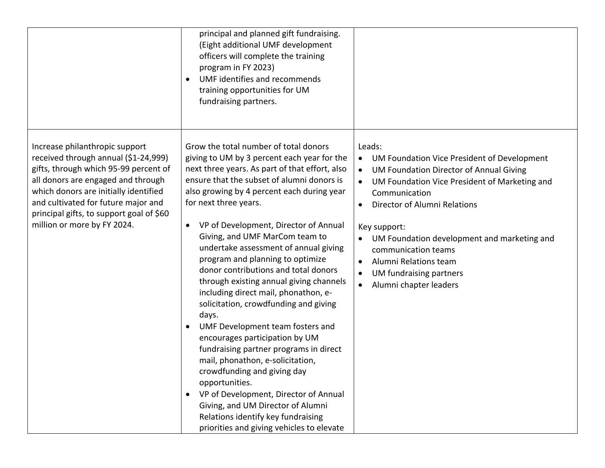|                                                                                                                                                                                                                                                                                                                  | principal and planned gift fundraising.<br>(Eight additional UMF development<br>officers will complete the training<br>program in FY 2023)<br>UMF identifies and recommends<br>$\bullet$<br>training opportunities for UM<br>fundraising partners.                                                                                                                                                                                                                                                                                                                                                                                                                                                                                                                                                                                                                                                                                                                                               |                                                                                                                                                                                                                                                                                                                                                                                                               |
|------------------------------------------------------------------------------------------------------------------------------------------------------------------------------------------------------------------------------------------------------------------------------------------------------------------|--------------------------------------------------------------------------------------------------------------------------------------------------------------------------------------------------------------------------------------------------------------------------------------------------------------------------------------------------------------------------------------------------------------------------------------------------------------------------------------------------------------------------------------------------------------------------------------------------------------------------------------------------------------------------------------------------------------------------------------------------------------------------------------------------------------------------------------------------------------------------------------------------------------------------------------------------------------------------------------------------|---------------------------------------------------------------------------------------------------------------------------------------------------------------------------------------------------------------------------------------------------------------------------------------------------------------------------------------------------------------------------------------------------------------|
| Increase philanthropic support<br>received through annual (\$1-24,999)<br>gifts, through which 95-99 percent of<br>all donors are engaged and through<br>which donors are initially identified<br>and cultivated for future major and<br>principal gifts, to support goal of \$60<br>million or more by FY 2024. | Grow the total number of total donors<br>giving to UM by 3 percent each year for the<br>next three years. As part of that effort, also<br>ensure that the subset of alumni donors is<br>also growing by 4 percent each during year<br>for next three years.<br>VP of Development, Director of Annual<br>$\bullet$<br>Giving, and UMF MarCom team to<br>undertake assessment of annual giving<br>program and planning to optimize<br>donor contributions and total donors<br>through existing annual giving channels<br>including direct mail, phonathon, e-<br>solicitation, crowdfunding and giving<br>days.<br>UMF Development team fosters and<br>$\bullet$<br>encourages participation by UM<br>fundraising partner programs in direct<br>mail, phonathon, e-solicitation,<br>crowdfunding and giving day<br>opportunities.<br>VP of Development, Director of Annual<br>Giving, and UM Director of Alumni<br>Relations identify key fundraising<br>priorities and giving vehicles to elevate | Leads:<br>UM Foundation Vice President of Development<br>$\bullet$<br>UM Foundation Director of Annual Giving<br>$\bullet$<br>UM Foundation Vice President of Marketing and<br>Communication<br>Director of Alumni Relations<br>Key support:<br>UM Foundation development and marketing and<br>communication teams<br>Alumni Relations team<br>UM fundraising partners<br>Alumni chapter leaders<br>$\bullet$ |